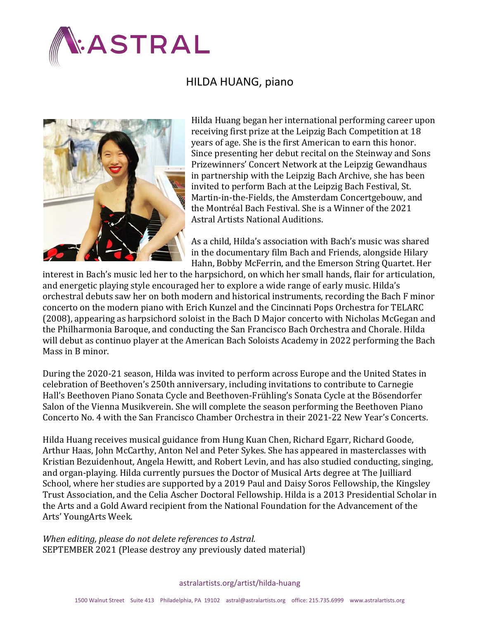

## HILDA HUANG, piano



Hilda Huang began her international performing career upon receiving first prize at the Leipzig Bach Competition at 18 years of age. She is the first American to earn this honor. Since presenting her debut recital on the Steinway and Sons Prizewinners' Concert Network at the Leipzig Gewandhaus in partnership with the Leipzig Bach Archive, she has been invited to perform Bach at the Leipzig Bach Festival, St. Martin-in-the-Fields, the Amsterdam Concertgebouw, and the Montréal Bach Festival. She is a Winner of the 2021 Astral Artists National Auditions.

As a child, Hilda's association with Bach's music was shared in the documentary film Bach and Friends, alongside Hilary Hahn, Bobby McFerrin, and the Emerson String Quartet. Her

interest in Bach's music led her to the harpsichord, on which her small hands, flair for articulation, and energetic playing style encouraged her to explore a wide range of early music. Hilda's orchestral debuts saw her on both modern and historical instruments, recording the Bach F minor concerto on the modern piano with Erich Kunzel and the Cincinnati Pops Orchestra for TELARC (2008), appearing as harpsichord soloist in the Bach D Major concerto with Nicholas McGegan and the Philharmonia Baroque, and conducting the San Francisco Bach Orchestra and Chorale. Hilda will debut as continuo player at the American Bach Soloists Academy in 2022 performing the Bach Mass in B minor.

During the 2020-21 season, Hilda was invited to perform across Europe and the United States in celebration of Beethoven's 250th anniversary, including invitations to contribute to Carnegie Hall's Beethoven Piano Sonata Cycle and Beethoven-Frühling's Sonata Cycle at the Bösendorfer Salon of the Vienna Musikverein. She will complete the season performing the Beethoven Piano Concerto No. 4 with the San Francisco Chamber Orchestra in their 2021-22 New Year's Concerts.

Hilda Huang receives musical guidance from Hung Kuan Chen, Richard Egarr, Richard Goode, Arthur Haas, John McCarthy, Anton Nel and Peter Sykes. She has appeared in masterclasses with Kristian Bezuidenhout, Angela Hewitt, and Robert Levin, and has also studied conducting, singing, and organ-playing. Hilda currently pursues the Doctor of Musical Arts degree at The Juilliard School, where her studies are supported by a 2019 Paul and Daisy Soros Fellowship, the Kingsley Trust Association, and the Celia Ascher Doctoral Fellowship. Hilda is a 2013 Presidential Scholar in the Arts and a Gold Award recipient from the National Foundation for the Advancement of the Arts' YoungArts Week.

*When editing, please do not delete references to Astral.* SEPTEMBER 2021 (Please destroy any previously dated material)